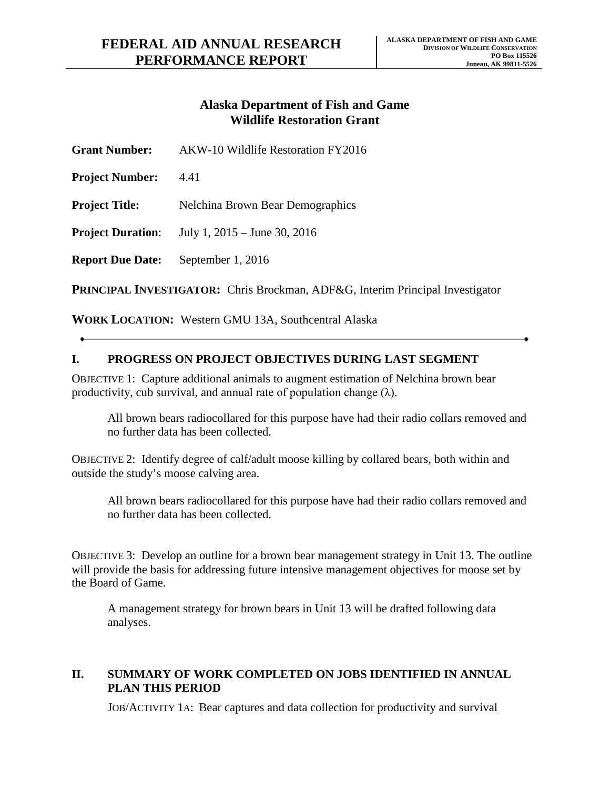## **Alaska Department of Fish and Game Wildlife Restoration Grant**

| <b>Grant Number:</b>                                                                 | AKW-10 Wildlife Restoration FY2016 |
|--------------------------------------------------------------------------------------|------------------------------------|
| <b>Project Number:</b>                                                               | 4.41                               |
| <b>Project Title:</b>                                                                | Nelchina Brown Bear Demographics   |
| <b>Project Duration:</b>                                                             | July 1, $2015 -$ June 30, $2016$   |
| <b>Report Due Date:</b>                                                              | September 1, 2016                  |
| <b>PRINCIPAL INVESTIGATOR:</b> Chris Brockman, ADF&G, Interim Principal Investigator |                                    |

**WORK LOCATION:** Western GMU 13A, Southcentral Alaska

## **I. PROGRESS ON PROJECT OBJECTIVES DURING LAST SEGMENT**

OBJECTIVE 1: Capture additional animals to augment estimation of Nelchina brown bear productivity, cub survival, and annual rate of population change  $(\lambda)$ .

All brown bears radiocollared for this purpose have had their radio collars removed and no further data has been collected.

OBJECTIVE 2: Identify degree of calf/adult moose killing by collared bears, both within and outside the study's moose calving area.

All brown bears radiocollared for this purpose have had their radio collars removed and no further data has been collected.

OBJECTIVE 3: Develop an outline for a brown bear management strategy in Unit 13. The outline will provide the basis for addressing future intensive management objectives for moose set by the Board of Game.

A management strategy for brown bears in Unit 13 will be drafted following data analyses.

## **II. SUMMARY OF WORK COMPLETED ON JOBS IDENTIFIED IN ANNUAL PLAN THIS PERIOD**

JOB/ACTIVITY 1A: Bear captures and data collection for productivity and survival